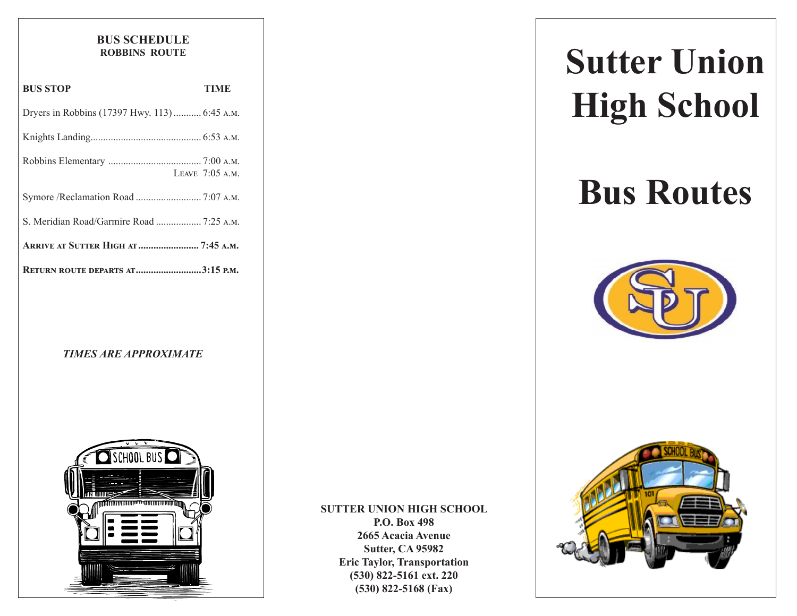#### **BUS SCHEDULE ROBBINS ROUTE**

| <b>BUS STOP</b>                               | TIME              |
|-----------------------------------------------|-------------------|
| Dryers in Robbins (17397 Hwy. 113)  6:45 A.M. |                   |
|                                               |                   |
|                                               | LEAVE $7:05$ A.M. |
| Symore /Reclamation Road  7:07 A.M.           |                   |
| S. Meridian Road/Garmire Road  7:25 A.M.      |                   |
| <b>ARRIVE AT SUTTER HIGH AT  7:45 A.M.</b>    |                   |
| <b>RETURN ROUTE DEPARTS AT3:15 P.M.</b>       |                   |

#### *TIMES ARE APPROXIMATE*



# **SUTTER UNION HIGH SCHOOL**

**P.O. Box 498 2665 Acacia Avenue Sutter, CA 95982 Eric Taylor, Transportation (530) 822-5161 ext. 220 (530) 822-5168 (Fax)**

# **Sutter Union High School**

# **Bus Routes**